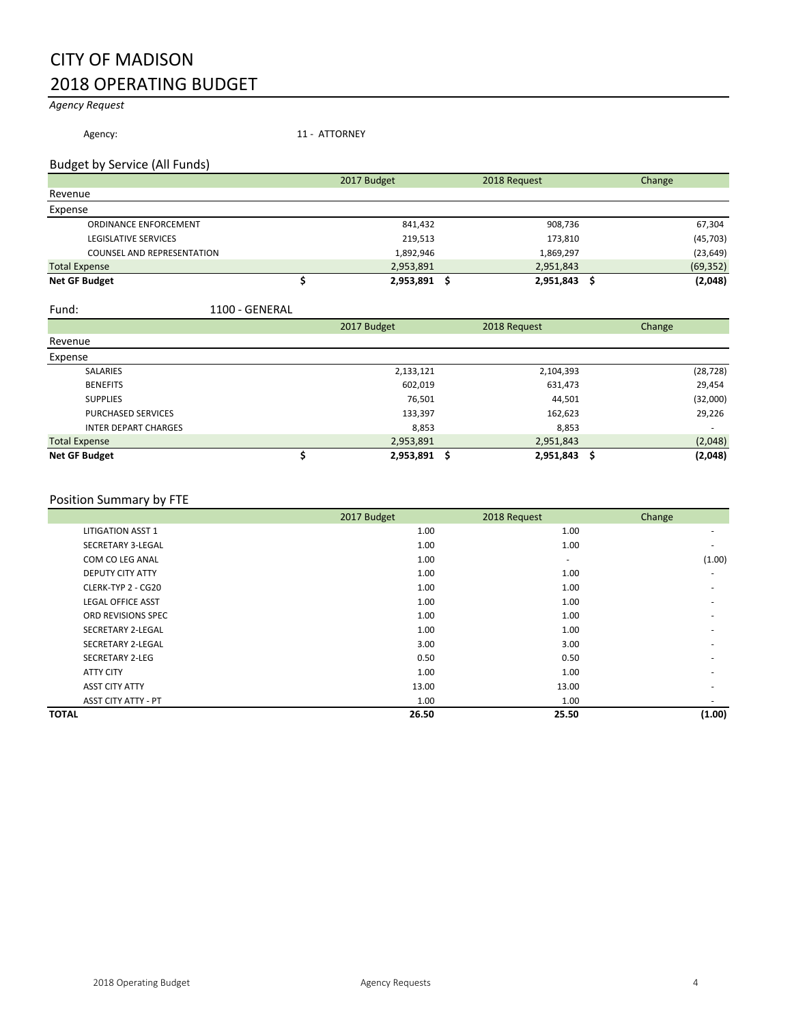### CITY OF MADISON 2018 OPERATING BUDGET

#### *Agency Request*

Agency: 11 - ATTORNEY

#### Budget by Service (All Funds)

|                                   | 2017 Budget | 2018 Request | Change    |
|-----------------------------------|-------------|--------------|-----------|
| Revenue                           |             |              |           |
| Expense                           |             |              |           |
| ORDINANCE ENFORCEMENT             | 841,432     | 908,736      | 67,304    |
| <b>LEGISLATIVE SERVICES</b>       | 219,513     | 173,810      | (45, 703) |
| <b>COUNSEL AND REPRESENTATION</b> | 1,892,946   | 1,869,297    | (23, 649) |
| <b>Total Expense</b>              | 2,953,891   | 2,951,843    | (69, 352) |
| <b>Net GF Budget</b>              | 2,953,891   | 2,951,843    | (2,048)   |

#### Fund: 1100 - GENERAL

|                             | 2017 Budget |           | 2018 Request | Change                   |
|-----------------------------|-------------|-----------|--------------|--------------------------|
| Revenue                     |             |           |              |                          |
| Expense                     |             |           |              |                          |
| <b>SALARIES</b>             |             | 2,133,121 | 2,104,393    | (28, 728)                |
| <b>BENEFITS</b>             |             | 602,019   | 631,473      | 29,454                   |
| <b>SUPPLIES</b>             |             | 76,501    | 44,501       | (32,000)                 |
| <b>PURCHASED SERVICES</b>   |             | 133,397   | 162,623      | 29,226                   |
| <b>INTER DEPART CHARGES</b> |             | 8,853     | 8,853        | $\overline{\phantom{a}}$ |
| <b>Total Expense</b>        |             | 2,953,891 | 2,951,843    | (2,048)                  |
| <b>Net GF Budget</b>        |             | 2,953,891 | 2,951,843    | (2,048)<br>.S            |

#### Position Summary by FTE

|                            | 2017 Budget | 2018 Request             | Change                   |
|----------------------------|-------------|--------------------------|--------------------------|
| <b>LITIGATION ASST 1</b>   | 1.00        | 1.00                     | ۰                        |
| SECRETARY 3-LEGAL          | 1.00        | 1.00                     |                          |
| COM CO LEG ANAL            | 1.00        | $\overline{\phantom{a}}$ | (1.00)                   |
| <b>DEPUTY CITY ATTY</b>    | 1.00        | 1.00                     | ٠                        |
| CLERK-TYP 2 - CG20         | 1.00        | 1.00                     |                          |
| <b>LEGAL OFFICE ASST</b>   | 1.00        | 1.00                     |                          |
| ORD REVISIONS SPEC         | 1.00        | 1.00                     |                          |
| SECRETARY 2-LEGAL          | 1.00        | 1.00                     | ۰                        |
| SECRETARY 2-LEGAL          | 3.00        | 3.00                     | $\overline{\phantom{a}}$ |
| <b>SECRETARY 2-LEG</b>     | 0.50        | 0.50                     |                          |
| <b>ATTY CITY</b>           | 1.00        | 1.00                     | ۰                        |
| <b>ASST CITY ATTY</b>      | 13.00       | 13.00                    |                          |
| <b>ASST CITY ATTY - PT</b> | 1.00        | 1.00                     |                          |
| <b>TOTAL</b>               | 26.50       | 25.50                    | (1.00)                   |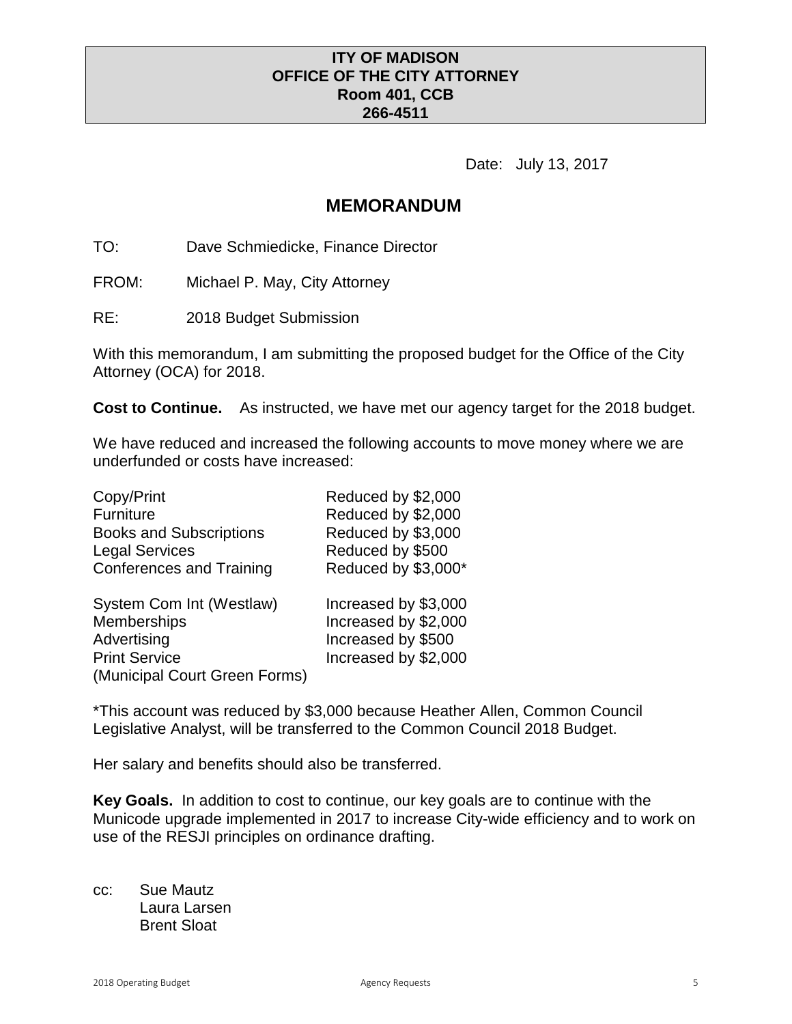### **ITY OF MADISON OFFICE OF THE CITY ATTORNEY Room 401, CCB 266-4511**

Date: July 13, 2017

### **MEMORANDUM**

TO: Dave Schmiedicke, Finance Director

FROM: Michael P. May, City Attorney

RE: 2018 Budget Submission

With this memorandum, I am submitting the proposed budget for the Office of the City Attorney (OCA) for 2018.

**Cost to Continue.** As instructed, we have met our agency target for the 2018 budget.

We have reduced and increased the following accounts to move money where we are underfunded or costs have increased:

| Copy/Print                      | Reduced by \$2,000   |
|---------------------------------|----------------------|
| Furniture                       | Reduced by \$2,000   |
| <b>Books and Subscriptions</b>  | Reduced by \$3,000   |
| <b>Legal Services</b>           | Reduced by \$500     |
| <b>Conferences and Training</b> | Reduced by \$3,000*  |
| System Com Int (Westlaw)        | Increased by \$3,000 |
| <b>Memberships</b>              | Increased by \$2,000 |
| Advertising                     | Increased by \$500   |
| <b>Print Service</b>            | Increased by \$2,000 |
| (Municipal Court Green Forms)   |                      |

\*This account was reduced by \$3,000 because Heather Allen, Common Council Legislative Analyst, will be transferred to the Common Council 2018 Budget.

Her salary and benefits should also be transferred.

**Key Goals.** In addition to cost to continue, our key goals are to continue with the Municode upgrade implemented in 2017 to increase City-wide efficiency and to work on use of the RESJI principles on ordinance drafting.

cc: Sue Mautz Laura Larsen Brent Sloat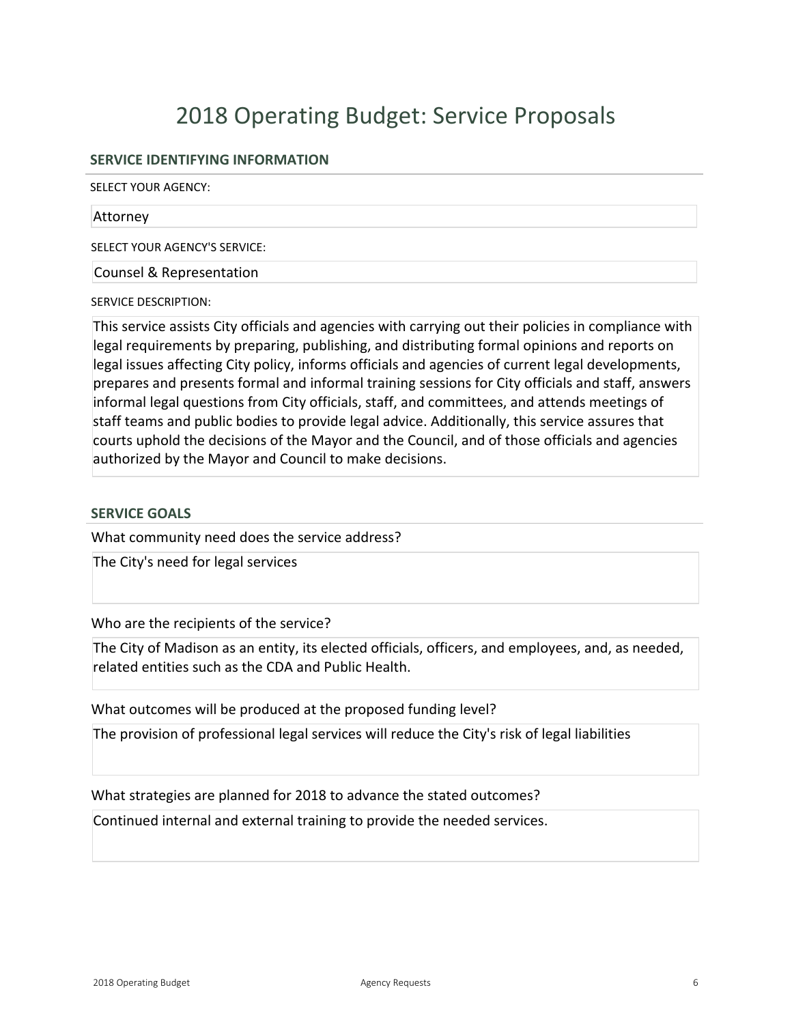# 2018 Operating Budget: Service Proposals

#### **SERVICE IDENTIFYING INFORMATION**

SELECT YOUR AGENCY:

#### Attorney

SELECT YOUR AGENCY'S SERVICE:

Counsel & Representation

SERVICE DESCRIPTION:

This service assists City officials and agencies with carrying out their policies in compliance with legal requirements by preparing, publishing, and distributing formal opinions and reports on legal issues affecting City policy, informs officials and agencies of current legal developments, prepares and presents formal and informal training sessions for City officials and staff, answers informal legal questions from City officials, staff, and committees, and attends meetings of staff teams and public bodies to provide legal advice. Additionally, this service assures that courts uphold the decisions of the Mayor and the Council, and of those officials and agencies authorized by the Mayor and Council to make decisions.

#### **SERVICE GOALS**

What community need does the service address?

The City's need for legal services

Who are the recipients of the service?

The City of Madison as an entity, its elected officials, officers, and employees, and, as needed, related entities such as the CDA and Public Health.

What outcomes will be produced at the proposed funding level?

The provision of professional legal services will reduce the City's risk of legal liabilities

What strategies are planned for 2018 to advance the stated outcomes?

Continued internal and external training to provide the needed services.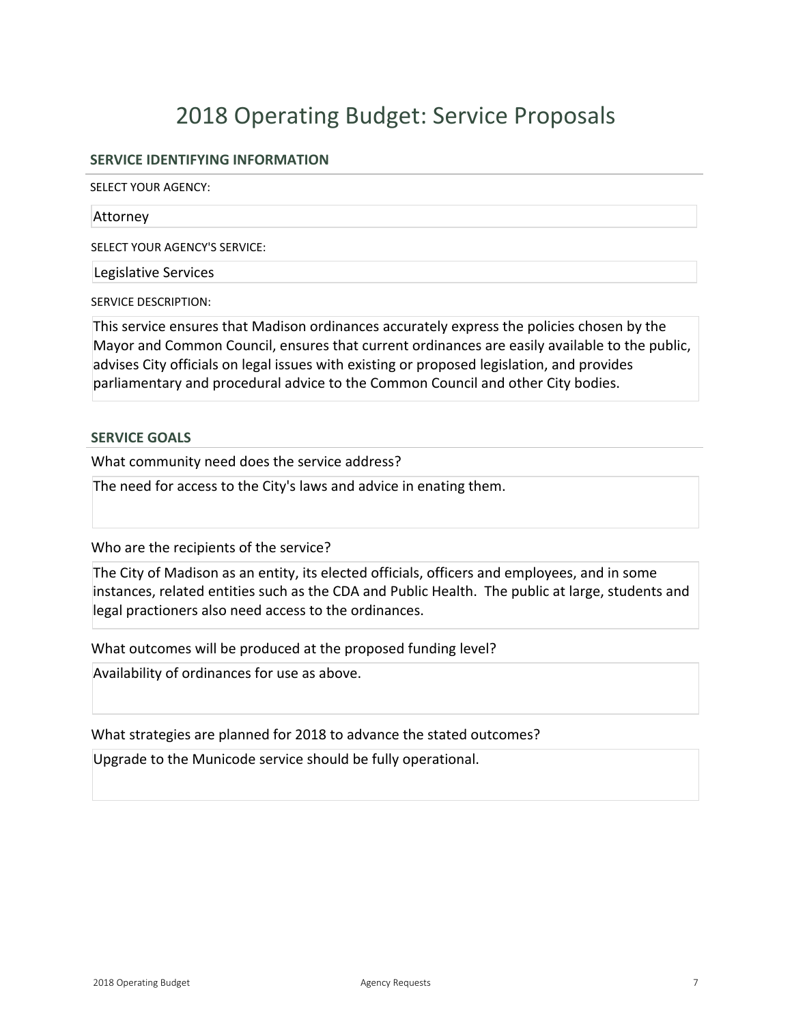# 2018 Operating Budget: Service Proposals

#### **SERVICE IDENTIFYING INFORMATION**

SELECT YOUR AGENCY:

#### Attorney

SELECT YOUR AGENCY'S SERVICE:

Legislative Services

SERVICE DESCRIPTION:

This service ensures that Madison ordinances accurately express the policies chosen by the Mayor and Common Council, ensures that current ordinances are easily available to the public, advises City officials on legal issues with existing or proposed legislation, and provides parliamentary and procedural advice to the Common Council and other City bodies.

#### **SERVICE GOALS**

What community need does the service address?

The need for access to the City's laws and advice in enating them.

Who are the recipients of the service?

The City of Madison as an entity, its elected officials, officers and employees, and in some instances, related entities such as the CDA and Public Health. The public at large, students and legal practioners also need access to the ordinances.

What outcomes will be produced at the proposed funding level?

Availability of ordinances for use as above.

What strategies are planned for 2018 to advance the stated outcomes?

Upgrade to the Municode service should be fully operational.